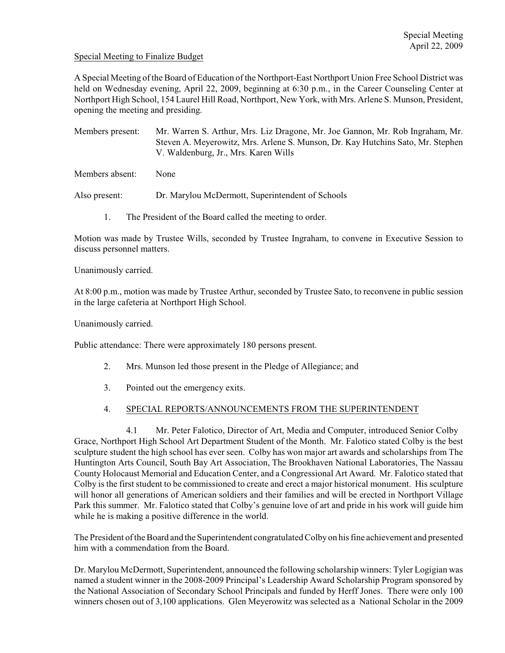## Special Meeting to Finalize Budget

A Special Meeting of the Board of Education of the Northport-East Northport Union Free School District was held on Wednesday evening, April 22, 2009, beginning at 6:30 p.m., in the Career Counseling Center at Northport High School, 154 Laurel Hill Road, Northport, New York, with Mrs. Arlene S. Munson, President, opening the meeting and presiding.

Members present: Mr. Warren S. Arthur, Mrs. Liz Dragone, Mr. Joe Gannon, Mr. Rob Ingraham, Mr. Steven A. Meyerowitz, Mrs. Arlene S. Munson, Dr. Kay Hutchins Sato, Mr. Stephen V. Waldenburg, Jr., Mrs. Karen Wills

Members absent: None

Also present: Dr. Marylou McDermott, Superintendent of Schools

1. The President of the Board called the meeting to order.

Motion was made by Trustee Wills, seconded by Trustee Ingraham, to convene in Executive Session to discuss personnel matters.

Unanimously carried.

At 8:00 p.m., motion was made by Trustee Arthur, seconded by Trustee Sato, to reconvene in public session in the large cafeteria at Northport High School.

Unanimously carried.

Public attendance: There were approximately 180 persons present.

- 2. Mrs. Munson led those present in the Pledge of Allegiance; and
- 3. Pointed out the emergency exits.
- 4. SPECIAL REPORTS/ANNOUNCEMENTS FROM THE SUPERINTENDENT

4.1 Mr. Peter Falotico, Director of Art, Media and Computer, introduced Senior Colby Grace, Northport High School Art Department Student of the Month. Mr. Falotico stated Colby is the best sculpture student the high school has ever seen. Colby has won major art awards and scholarships from The Huntington Arts Council, South Bay Art Association, The Brookhaven National Laboratories, The Nassau County Holocaust Memorial and Education Center, and a Congressional Art Award. Mr. Falotico stated that Colby is the first student to be commissioned to create and erect a major historical monument. His sculpture will honor all generations of American soldiers and their families and will be erected in Northport Village Park this summer. Mr. Falotico stated that Colby's genuine love of art and pride in his work will guide him while he is making a positive difference in the world.

The President of the Board and the Superintendent congratulated Colby on his fine achievement and presented him with a commendation from the Board.

Dr. Marylou McDermott, Superintendent, announced the following scholarship winners: Tyler Logigian was named a student winner in the 2008-2009 Principal's Leadership Award Scholarship Program sponsored by the National Association of Secondary School Principals and funded by Herff Jones. There were only 100 winners chosen out of 3,100 applications. Glen Meyerowitz was selected as a National Scholar in the 2009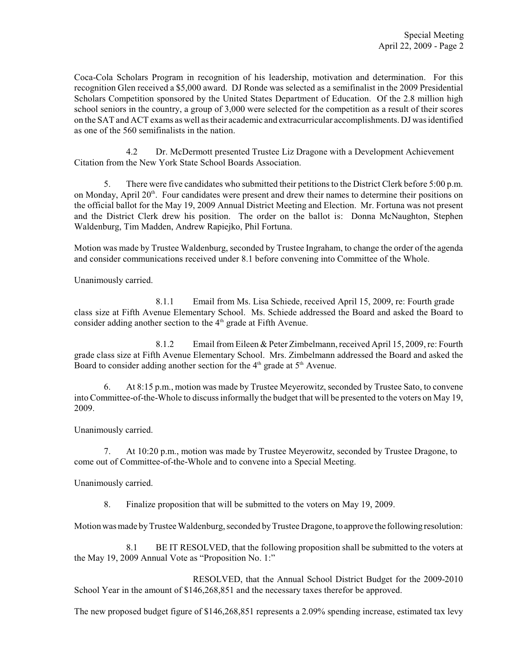Coca-Cola Scholars Program in recognition of his leadership, motivation and determination. For this recognition Glen received a \$5,000 award. DJ Ronde was selected as a semifinalist in the 2009 Presidential Scholars Competition sponsored by the United States Department of Education. Of the 2.8 million high school seniors in the country, a group of 3,000 were selected for the competition as a result of their scores on the SAT and ACT exams as well as their academic and extracurricular accomplishments. DJ was identified as one of the 560 semifinalists in the nation.

4.2 Dr. McDermott presented Trustee Liz Dragone with a Development Achievement Citation from the New York State School Boards Association.

5. There were five candidates who submitted their petitions to the District Clerk before 5:00 p.m. on Monday, April  $20<sup>th</sup>$ . Four candidates were present and drew their names to determine their positions on the official ballot for the May 19, 2009 Annual District Meeting and Election. Mr. Fortuna was not present and the District Clerk drew his position. The order on the ballot is: Donna McNaughton, Stephen Waldenburg, Tim Madden, Andrew Rapiejko, Phil Fortuna.

Motion was made by Trustee Waldenburg, seconded by Trustee Ingraham, to change the order of the agenda and consider communications received under 8.1 before convening into Committee of the Whole.

Unanimously carried.

8.1.1 Email from Ms. Lisa Schiede, received April 15, 2009, re: Fourth grade class size at Fifth Avenue Elementary School. Ms. Schiede addressed the Board and asked the Board to consider adding another section to the  $4<sup>th</sup>$  grade at Fifth Avenue.

8.1.2 Email from Eileen & Peter Zimbelmann, received April 15, 2009, re: Fourth grade class size at Fifth Avenue Elementary School. Mrs. Zimbelmann addressed the Board and asked the Board to consider adding another section for the  $4<sup>th</sup>$  grade at  $5<sup>th</sup>$  Avenue.

6. At 8:15 p.m., motion was made by Trustee Meyerowitz, seconded by Trustee Sato, to convene into Committee-of-the-Whole to discussinformally the budget that will be presented to the voters on May 19, 2009.

Unanimously carried.

7. At 10:20 p.m., motion was made by Trustee Meyerowitz, seconded by Trustee Dragone, to come out of Committee-of-the-Whole and to convene into a Special Meeting.

Unanimously carried.

8. Finalize proposition that will be submitted to the voters on May 19, 2009.

Motion was made by Trustee Waldenburg, seconded by Trustee Dragone, to approve the following resolution:

8.1 BE IT RESOLVED, that the following proposition shall be submitted to the voters at the May 19, 2009 Annual Vote as "Proposition No. 1:"

RESOLVED, that the Annual School District Budget for the 2009-2010 School Year in the amount of \$146,268,851 and the necessary taxes therefor be approved.

The new proposed budget figure of \$146,268,851 represents a 2.09% spending increase, estimated tax levy